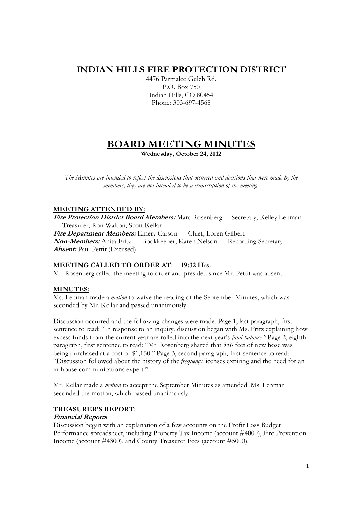## **INDIAN HILLS FIRE PROTECTION DISTRICT**

4476 Parmalee Gulch Rd. P.O. Box 750 Indian Hills, CO 80454 Phone: 303-697-4568

# **BOARD MEETING MINUTES**

**Wednesday, October 24, 2012** 

*The Minutes are intended to reflect the discussions that occurred and decisions that were made by the members; they are not intended to be a transcription of the meeting.* 

## **MEETING ATTENDED BY:**

**Fire Protection District Board Members:** Marc Rosenberg — Secretary; Kelley Lehman — Treasurer; Ron Walton; Scott Kellar **Fire Department Members:** Emery Carson — Chief; Loren Gilbert **Non-Members:** Anita Fritz — Bookkeeper; Karen Nelson — Recording Secretary **Absent:** Paul Pettit (Excused)

## **MEETING CALLED TO ORDER AT: 19:32 Hrs.**

Mr. Rosenberg called the meeting to order and presided since Mr. Pettit was absent.

## **MINUTES:**

Ms. Lehman made a *motion* to waive the reading of the September Minutes, which was seconded by Mr. Kellar and passed unanimously.

Discussion occurred and the following changes were made. Page 1, last paragraph, first sentence to read: "In response to an inquiry, discussion began with Ms. Fritz explaining how excess funds from the current year are rolled into the next year's *fund balance."* Page 2, eighth paragraph, first sentence to read: "Mr. Rosenberg shared that *350* feet of new hose was being purchased at a cost of \$1,150." Page 3, second paragraph, first sentence to read: "Discussion followed about the history of the *frequency* licenses expiring and the need for an in-house communications expert."

Mr. Kellar made a *motion* to accept the September Minutes as amended. Ms. Lehman seconded the motion, which passed unanimously.

## **TREASURER'S REPORT:**

#### **Financial Reports**

Discussion began with an explanation of a few accounts on the Profit Loss Budget Performance spreadsheet, including Property Tax Income (account #4000), Fire Prevention Income (account #4300), and County Treasurer Fees (account #5000).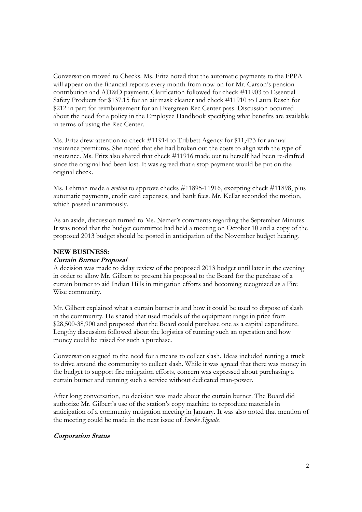Conversation moved to Checks. Ms. Fritz noted that the automatic payments to the FPPA will appear on the financial reports every month from now on for Mr. Carson's pension contribution and AD&D payment. Clarification followed for check #11903 to Essential Safety Products for \$137.15 for an air mask cleaner and check #11910 to Laura Resch for \$212 in part for reimbursement for an Evergreen Rec Center pass. Discussion occurred about the need for a policy in the Employee Handbook specifying what benefits are available in terms of using the Rec Center.

Ms. Fritz drew attention to check #11914 to Tribbett Agency for \$11,473 for annual insurance premiums. She noted that she had broken out the costs to align with the type of insurance. Ms. Fritz also shared that check #11916 made out to herself had been re-drafted since the original had been lost. It was agreed that a stop payment would be put on the original check.

Ms. Lehman made a *motion* to approve checks #11895-11916, excepting check #11898, plus automatic payments, credit card expenses, and bank fees. Mr. Kellar seconded the motion, which passed unanimously.

As an aside, discussion turned to Ms. Nemer's comments regarding the September Minutes. It was noted that the budget committee had held a meeting on October 10 and a copy of the proposed 2013 budget should be posted in anticipation of the November budget hearing.

#### **NEW BUSINESS:**

#### **Curtain Burner Proposal**

A decision was made to delay review of the proposed 2013 budget until later in the evening in order to allow Mr. Gilbert to present his proposal to the Board for the purchase of a curtain burner to aid Indian Hills in mitigation efforts and becoming recognized as a Fire Wise community.

Mr. Gilbert explained what a curtain burner is and how it could be used to dispose of slash in the community. He shared that used models of the equipment range in price from \$28,500-38,900 and proposed that the Board could purchase one as a capital expenditure. Lengthy discussion followed about the logistics of running such an operation and how money could be raised for such a purchase.

Conversation segued to the need for a means to collect slash. Ideas included renting a truck to drive around the community to collect slash. While it was agreed that there was money in the budget to support fire mitigation efforts, concern was expressed about purchasing a curtain burner and running such a service without dedicated man-power.

After long conversation, no decision was made about the curtain burner. The Board did authorize Mr. Gilbert's use of the station's copy machine to reproduce materials in anticipation of a community mitigation meeting in January. It was also noted that mention of the meeting could be made in the next issue of *Smoke Signals.* 

## **Corporation Status**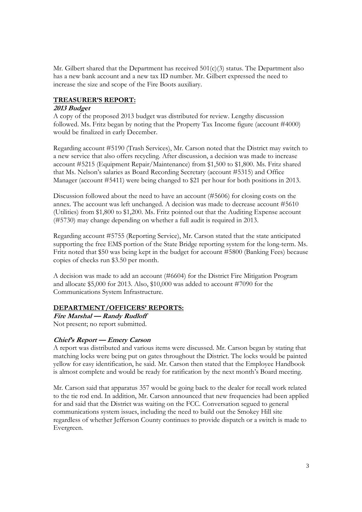Mr. Gilbert shared that the Department has received  $501(c)(3)$  status. The Department also has a new bank account and a new tax ID number. Mr. Gilbert expressed the need to increase the size and scope of the Fire Boots auxiliary.

## **TREASURER'S REPORT:**

## **2013 Budget**

A copy of the proposed 2013 budget was distributed for review. Lengthy discussion followed. Ms. Fritz began by noting that the Property Tax Income figure (account #4000) would be finalized in early December.

Regarding account #5190 (Trash Services), Mr. Carson noted that the District may switch to a new service that also offers recycling. After discussion, a decision was made to increase account #5215 (Equipment Repair/Maintenance) from \$1,500 to \$1,800. Ms. Fritz shared that Ms. Nelson's salaries as Board Recording Secretary (account #5315) and Office Manager (account #5411) were being changed to \$21 per hour for both positions in 2013.

Discussion followed about the need to have an account (#5606) for closing costs on the annex. The account was left unchanged. A decision was made to decrease account #5610 (Utilities) from \$1,800 to \$1,200. Ms. Fritz pointed out that the Auditing Expense account (#5730) may change depending on whether a full audit is required in 2013.

Regarding account #5755 (Reporting Service), Mr. Carson stated that the state anticipated supporting the free EMS portion of the State Bridge reporting system for the long-term. Ms. Fritz noted that \$50 was being kept in the budget for account #5800 (Banking Fees) because copies of checks run \$3.50 per month.

A decision was made to add an account (#6604) for the District Fire Mitigation Program and allocate \$5,000 for 2013. Also, \$10,000 was added to account #7090 for the Communications System Infrastructure.

## **DEPARTMENT/OFFICERS' REPORTS:**

**Fire Marshal — Randy Rudloff**  Not present; no report submitted.

## **Chief's Report — Emery Carson**

A report was distributed and various items were discussed. Mr. Carson began by stating that matching locks were being put on gates throughout the District. The locks would be painted yellow for easy identification, he said. Mr. Carson then stated that the Employee Handbook is almost complete and would be ready for ratification by the next month's Board meeting.

Mr. Carson said that apparatus 357 would be going back to the dealer for recall work related to the tie rod end. In addition, Mr. Carson announced that new frequencies had been applied for and said that the District was waiting on the FCC. Conversation segued to general communications system issues, including the need to build out the Smokey Hill site regardless of whether Jefferson County continues to provide dispatch or a switch is made to Evergreen.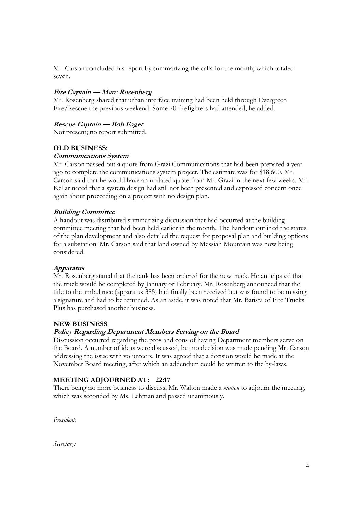Mr. Carson concluded his report by summarizing the calls for the month, which totaled seven.

## **Fire Captain — Marc Rosenberg**

Mr. Rosenberg shared that urban interface training had been held through Evergreen Fire/Rescue the previous weekend. Some 70 firefighters had attended, he added.

#### **Rescue Captain — Bob Fager**

Not present; no report submitted.

#### **OLD BUSINESS:**

#### **Communications System**

Mr. Carson passed out a quote from Grazi Communications that had been prepared a year ago to complete the communications system project. The estimate was for \$18,600. Mr. Carson said that he would have an updated quote from Mr. Grazi in the next few weeks. Mr. Kellar noted that a system design had still not been presented and expressed concern once again about proceeding on a project with no design plan.

#### **Building Committee**

A handout was distributed summarizing discussion that had occurred at the building committee meeting that had been held earlier in the month. The handout outlined the status of the plan development and also detailed the request for proposal plan and building options for a substation. Mr. Carson said that land owned by Messiah Mountain was now being considered.

#### **Apparatus**

Mr. Rosenberg stated that the tank has been ordered for the new truck. He anticipated that the truck would be completed by January or February. Mr. Rosenberg announced that the title to the ambulance (apparatus 385) had finally been received but was found to be missing a signature and had to be returned. As an aside, it was noted that Mr. Batista of Fire Trucks Plus has purchased another business.

#### **NEW BUSINESS**

#### **Policy Regarding Department Members Serving on the Board**

Discussion occurred regarding the pros and cons of having Department members serve on the Board. A number of ideas were discussed, but no decision was made pending Mr. Carson addressing the issue with volunteers. It was agreed that a decision would be made at the November Board meeting, after which an addendum could be written to the by-laws.

#### **MEETING ADJOURNED AT: 22:17**

There being no more business to discuss, Mr. Walton made a *motion* to adjourn the meeting, which was seconded by Ms. Lehman and passed unanimously.

*President:* 

*Secretary:*